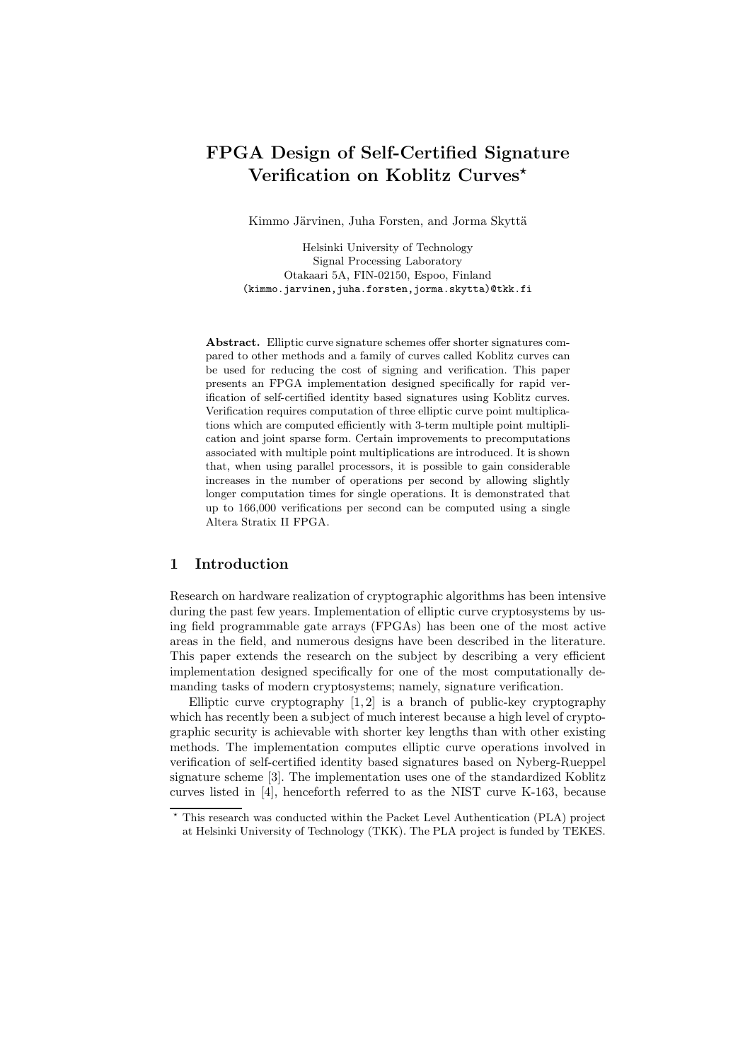# FPGA Design of Self-Certified Signature Verification on Koblitz Curves<sup>\*</sup>

Kimmo Järvinen, Juha Forsten, and Jorma Skyttä

Helsinki University of Technology Signal Processing Laboratory Otakaari 5A, FIN-02150, Espoo, Finland (kimmo.jarvinen,juha.forsten,jorma.skytta)@tkk.fi

Abstract. Elliptic curve signature schemes offer shorter signatures compared to other methods and a family of curves called Koblitz curves can be used for reducing the cost of signing and verification. This paper presents an FPGA implementation designed specifically for rapid verification of self-certified identity based signatures using Koblitz curves. Verification requires computation of three elliptic curve point multiplications which are computed efficiently with 3-term multiple point multiplication and joint sparse form. Certain improvements to precomputations associated with multiple point multiplications are introduced. It is shown that, when using parallel processors, it is possible to gain considerable increases in the number of operations per second by allowing slightly longer computation times for single operations. It is demonstrated that up to 166,000 verifications per second can be computed using a single Altera Stratix II FPGA.

## 1 Introduction

Research on hardware realization of cryptographic algorithms has been intensive during the past few years. Implementation of elliptic curve cryptosystems by using field programmable gate arrays (FPGAs) has been one of the most active areas in the field, and numerous designs have been described in the literature. This paper extends the research on the subject by describing a very efficient implementation designed specifically for one of the most computationally demanding tasks of modern cryptosystems; namely, signature verification.

Elliptic curve cryptography  $[1, 2]$  is a branch of public-key cryptography which has recently been a subject of much interest because a high level of cryptographic security is achievable with shorter key lengths than with other existing methods. The implementation computes elliptic curve operations involved in verification of self-certified identity based signatures based on Nyberg-Rueppel signature scheme [3]. The implementation uses one of the standardized Koblitz curves listed in [4], henceforth referred to as the NIST curve K-163, because

<sup>?</sup> This research was conducted within the Packet Level Authentication (PLA) project at Helsinki University of Technology (TKK). The PLA project is funded by TEKES.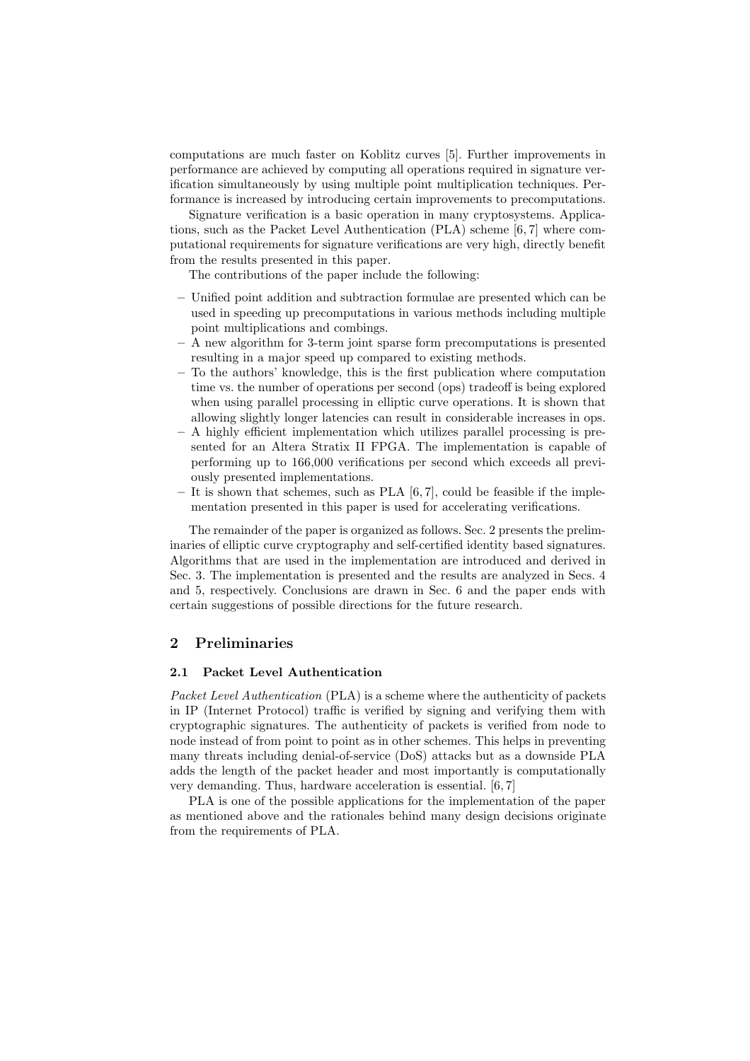computations are much faster on Koblitz curves [5]. Further improvements in performance are achieved by computing all operations required in signature verification simultaneously by using multiple point multiplication techniques. Performance is increased by introducing certain improvements to precomputations.

Signature verification is a basic operation in many cryptosystems. Applications, such as the Packet Level Authentication (PLA) scheme [6, 7] where computational requirements for signature verifications are very high, directly benefit from the results presented in this paper.

The contributions of the paper include the following:

- Unified point addition and subtraction formulae are presented which can be used in speeding up precomputations in various methods including multiple point multiplications and combings.
- A new algorithm for 3-term joint sparse form precomputations is presented resulting in a major speed up compared to existing methods.
- To the authors' knowledge, this is the first publication where computation time vs. the number of operations per second (ops) tradeoff is being explored when using parallel processing in elliptic curve operations. It is shown that allowing slightly longer latencies can result in considerable increases in ops.
- A highly efficient implementation which utilizes parallel processing is presented for an Altera Stratix II FPGA. The implementation is capable of performing up to 166,000 verifications per second which exceeds all previously presented implementations.
- $-$  It is shown that schemes, such as PLA  $[6, 7]$ , could be feasible if the implementation presented in this paper is used for accelerating verifications.

The remainder of the paper is organized as follows. Sec. 2 presents the preliminaries of elliptic curve cryptography and self-certified identity based signatures. Algorithms that are used in the implementation are introduced and derived in Sec. 3. The implementation is presented and the results are analyzed in Secs. 4 and 5, respectively. Conclusions are drawn in Sec. 6 and the paper ends with certain suggestions of possible directions for the future research.

## 2 Preliminaries

#### 2.1 Packet Level Authentication

Packet Level Authentication (PLA) is a scheme where the authenticity of packets in IP (Internet Protocol) traffic is verified by signing and verifying them with cryptographic signatures. The authenticity of packets is verified from node to node instead of from point to point as in other schemes. This helps in preventing many threats including denial-of-service (DoS) attacks but as a downside PLA adds the length of the packet header and most importantly is computationally very demanding. Thus, hardware acceleration is essential. [6, 7]

PLA is one of the possible applications for the implementation of the paper as mentioned above and the rationales behind many design decisions originate from the requirements of PLA.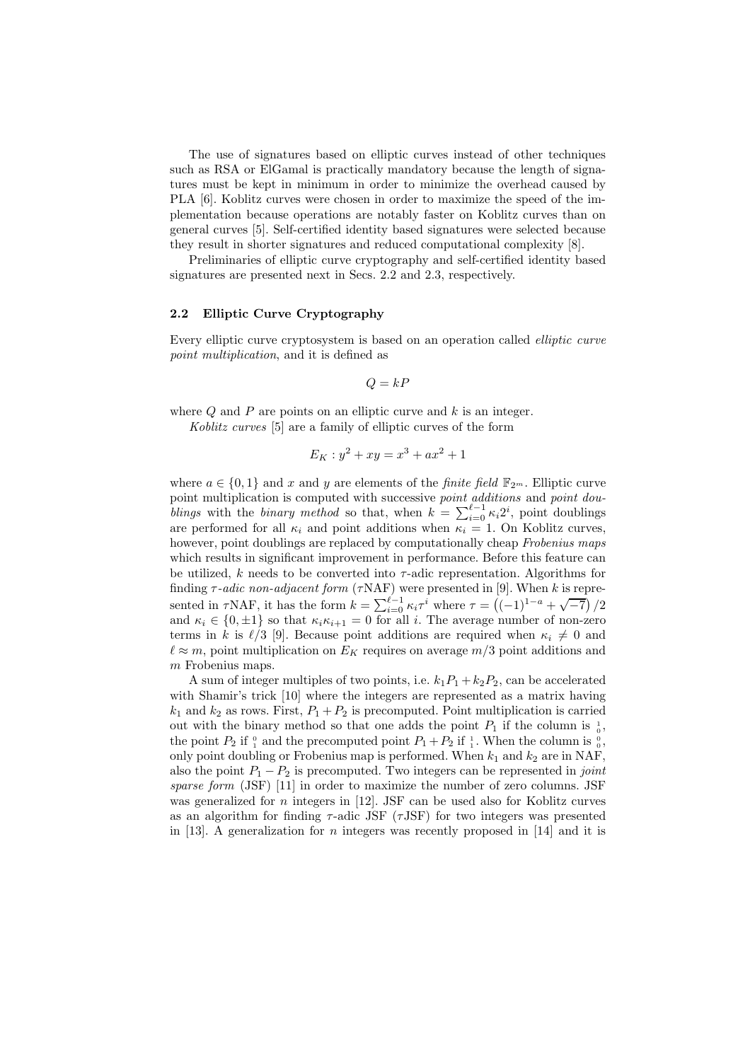The use of signatures based on elliptic curves instead of other techniques such as RSA or ElGamal is practically mandatory because the length of signatures must be kept in minimum in order to minimize the overhead caused by PLA [6]. Koblitz curves were chosen in order to maximize the speed of the implementation because operations are notably faster on Koblitz curves than on general curves [5]. Self-certified identity based signatures were selected because they result in shorter signatures and reduced computational complexity [8].

Preliminaries of elliptic curve cryptography and self-certified identity based signatures are presented next in Secs. 2.2 and 2.3, respectively.

#### 2.2 Elliptic Curve Cryptography

Every elliptic curve cryptosystem is based on an operation called elliptic curve point multiplication, and it is defined as

$$
Q = kP
$$

where  $Q$  and  $P$  are points on an elliptic curve and  $k$  is an integer.

Koblitz curves [5] are a family of elliptic curves of the form

$$
E_K: y^2 + xy = x^3 + ax^2 + 1
$$

where  $a \in \{0, 1\}$  and x and y are elements of the *finite field*  $\mathbb{F}_{2^m}$ . Elliptic curve point multiplication is computed with successive *point additions* and *point dou*blings with the binary method so that, when  $k = \sum_{i=0}^{\ell-1} \kappa_i 2^i$ , point doublings are performed for all  $\kappa_i$  and point additions when  $\kappa_i = 1$ . On Koblitz curves, however, point doublings are replaced by computationally cheap Frobenius maps which results in significant improvement in performance. Before this feature can be utilized, k needs to be converted into  $\tau$ -adic representation. Algorithms for finding  $\tau$ -adic non-adjacent form ( $\tau$ NAF) were presented in [9]. When k is represented in  $\tau\text{NAF}$ , it has the form  $k = \sum_{i=0}^{\ell-1} \kappa_i \tau^i$  where  $\tau = \left((-1)^{1-a} + \sqrt{-7}\right)/2$ and  $\kappa_i \in \{0, \pm 1\}$  so that  $\kappa_i \kappa_{i+1} = 0$  for all i. The average number of non-zero terms in k is  $\ell/3$  [9]. Because point additions are required when  $\kappa_i \neq 0$  and  $\ell \approx m$ , point multiplication on  $E_K$  requires on average  $m/3$  point additions and m Frobenius maps.

A sum of integer multiples of two points, i.e.  $k_1P_1 + k_2P_2$ , can be accelerated with Shamir's trick [10] where the integers are represented as a matrix having  $k_1$  and  $k_2$  as rows. First,  $P_1 + P_2$  is precomputed. Point multiplication is carried out with the binary method so that one adds the point  $P_1$  if the column is  $\frac{1}{0}$ , the point  $P_2$  if  $\frac{0}{1}$  and the precomputed point  $P_1 + P_2$  if  $\frac{1}{1}$ . When the column is  $\frac{0}{0}$ , only point doubling or Frobenius map is performed. When  $k_1$  and  $k_2$  are in NAF, also the point  $P_1 - P_2$  is precomputed. Two integers can be represented in joint sparse form (JSF) [11] in order to maximize the number of zero columns. JSF was generalized for  $n$  integers in [12]. JSF can be used also for Koblitz curves as an algorithm for finding  $\tau$ -adic JSF ( $\tau$ JSF) for two integers was presented in [13]. A generalization for n integers was recently proposed in [14] and it is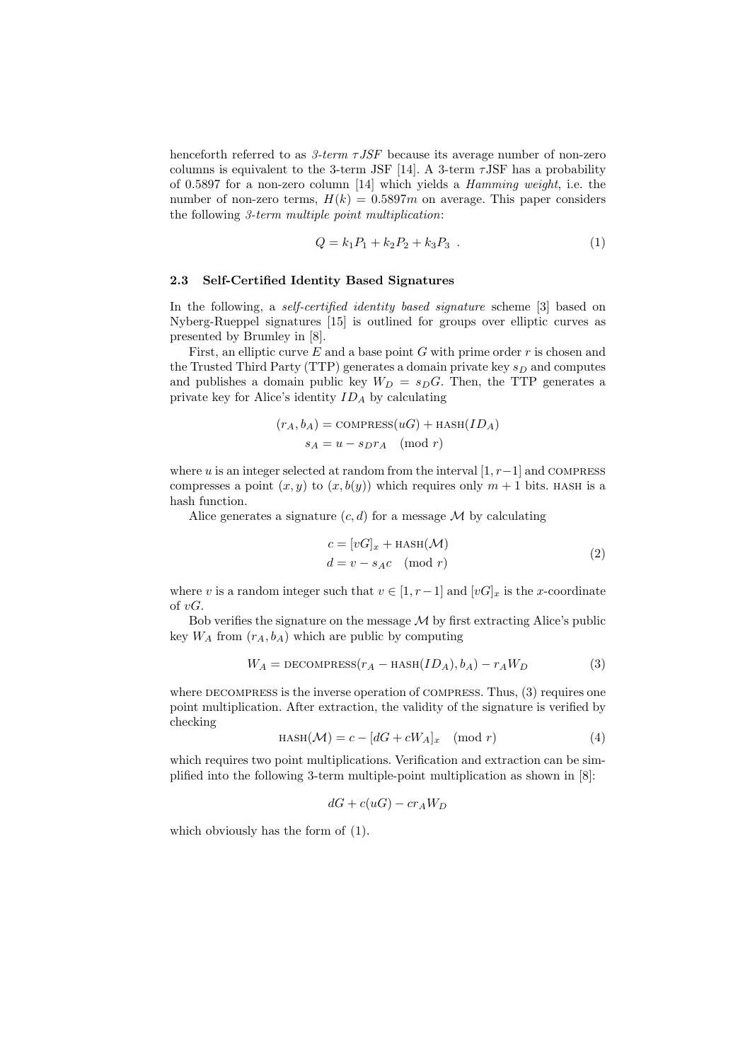henceforth referred to as  $3$ -term  $\tau JSF$  because its average number of non-zero columns is equivalent to the 3-term JSF [14]. A 3-term  $\tau$ JSF has a probability of 0.5897 for a non-zero column [14] which yields a Hamming weight, i.e. the number of non-zero terms,  $H(k) = 0.5897m$  on average. This paper considers the following 3-term multiple point multiplication:

$$
Q = k_1 P_1 + k_2 P_2 + k_3 P_3 \t . \t (1)
$$

#### 2.3 Self-Certified Identity Based Signatures

In the following, a *self-certified identity based signature* scheme [3] based on Nyberg-Rueppel signatures [15] is outlined for groups over elliptic curves as presented by Brumley in [8].

First, an elliptic curve  $E$  and a base point  $G$  with prime order  $r$  is chosen and the Trusted Third Party (TTP) generates a domain private key  $s_D$  and computes and publishes a domain public key  $W_D = s_D G$ . Then, the TTP generates a private key for Alice's identity  $ID_A$  by calculating

$$
(r_A, b_A) = \text{COMPRESS}(uG) + \text{HASH}(ID_A)
$$

$$
s_A = u - s_{DTA} \pmod{r}
$$

where u is an integer selected at random from the interval  $[1, r-1]$  and COMPRESS compresses a point  $(x, y)$  to  $(x, b(y))$  which requires only  $m + 1$  bits. HASH is a hash function.

Alice generates a signature  $(c, d)$  for a message  $\mathcal M$  by calculating

$$
c = [vG]_x + \text{HASH}(\mathcal{M})
$$
  
\n
$$
d = v - s_A c \pmod{r}
$$
\n(2)

where v is a random integer such that  $v \in [1, r-1]$  and  $[vG]_x$  is the x-coordinate of  $vG$ .

Bob verifies the signature on the message  $\mathcal M$  by first extracting Alice's public key  $W_A$  from  $(r_A, b_A)$  which are public by computing

$$
W_A = \text{DECOMPRESS}(r_A - \text{HASH}(ID_A), b_A) - r_A W_D \tag{3}
$$

where DECOMPRESS is the inverse operation of COMPRESS. Thus,  $(3)$  requires one point multiplication. After extraction, the validity of the signature is verified by checking

$$
HASH(\mathcal{M}) = c - [dG + cW_A]_x \pmod{r}
$$
 (4)

which requires two point multiplications. Verification and extraction can be simplified into the following 3-term multiple-point multiplication as shown in [8]:

$$
dG + c(uG) - cr_A W_D
$$

which obviously has the form of (1).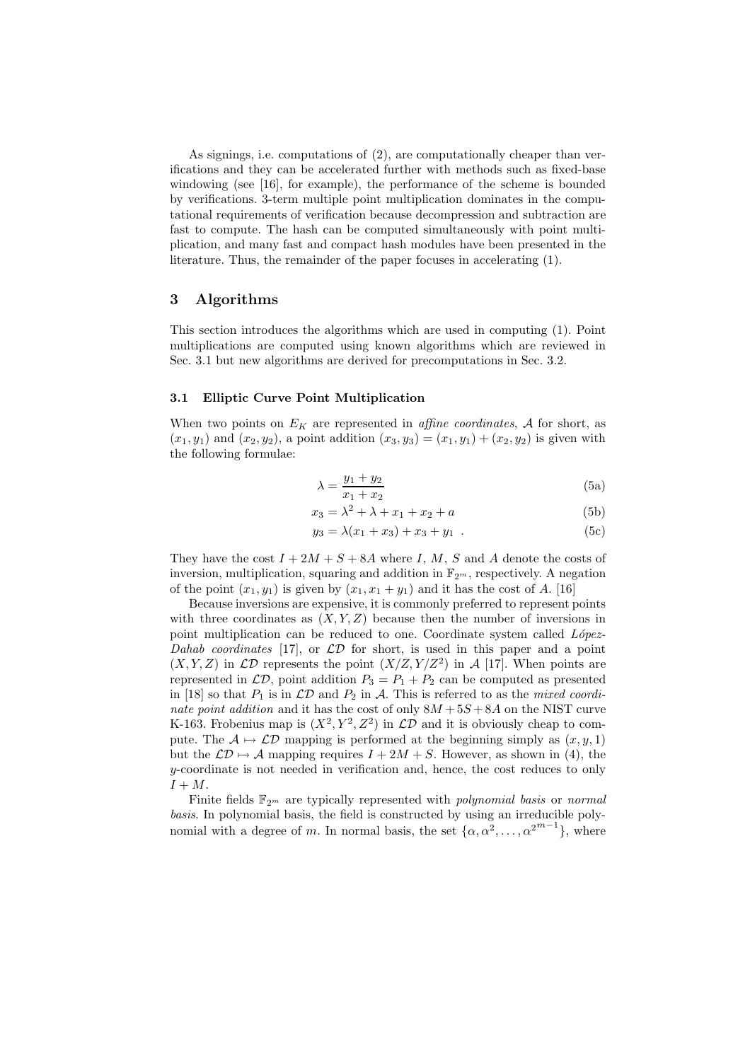As signings, i.e. computations of (2), are computationally cheaper than verifications and they can be accelerated further with methods such as fixed-base windowing (see [16], for example), the performance of the scheme is bounded by verifications. 3-term multiple point multiplication dominates in the computational requirements of verification because decompression and subtraction are fast to compute. The hash can be computed simultaneously with point multiplication, and many fast and compact hash modules have been presented in the literature. Thus, the remainder of the paper focuses in accelerating (1).

## 3 Algorithms

This section introduces the algorithms which are used in computing (1). Point multiplications are computed using known algorithms which are reviewed in Sec. 3.1 but new algorithms are derived for precomputations in Sec. 3.2.

#### 3.1 Elliptic Curve Point Multiplication

When two points on  $E_K$  are represented in *affine coordinates*, A for short, as  $(x_1, y_1)$  and  $(x_2, y_2)$ , a point addition  $(x_3, y_3) = (x_1, y_1) + (x_2, y_2)$  is given with the following formulae:

$$
\lambda = \frac{y_1 + y_2}{x_1 + x_2} \tag{5a}
$$

$$
x_3 = \lambda^2 + \lambda + x_1 + x_2 + a \tag{5b}
$$

$$
y_3 = \lambda(x_1 + x_3) + x_3 + y_1 \tag{5c}
$$

They have the cost  $I + 2M + S + 8A$  where I, M, S and A denote the costs of inversion, multiplication, squaring and addition in  $\mathbb{F}_{2^m}$ , respectively. A negation of the point  $(x_1, y_1)$  is given by  $(x_1, x_1 + y_1)$  and it has the cost of A. [16]

Because inversions are expensive, it is commonly preferred to represent points with three coordinates as  $(X, Y, Z)$  because then the number of inversions in point multiplication can be reduced to one. Coordinate system called  $López-$ Dahab coordinates [17], or  $\mathcal{LD}$  for short, is used in this paper and a point  $(X, Y, Z)$  in  $\mathcal{LD}$  represents the point  $(X/Z, Y/Z^2)$  in  $\mathcal{A}$  [17]. When points are represented in  $\mathcal{LD}$ , point addition  $P_3 = P_1 + P_2$  can be computed as presented in [18] so that  $P_1$  is in  $\mathcal{LD}$  and  $P_2$  in  $\mathcal{A}$ . This is referred to as the mixed coordinate point addition and it has the cost of only  $8M + 5S + 8A$  on the NIST curve K-163. Frobenius map is  $(X^2, Y^2, Z^2)$  in  $\mathcal{LD}$  and it is obviously cheap to compute. The  $A \mapsto \mathcal{LD}$  mapping is performed at the beginning simply as  $(x, y, 1)$ but the  $\mathcal{LD} \mapsto \mathcal{A}$  mapping requires  $I + 2M + S$ . However, as shown in (4), the y-coordinate is not needed in verification and, hence, the cost reduces to only  $I + M$ .

Finite fields  $\mathbb{F}_{2^m}$  are typically represented with *polynomial basis* or *normal* basis. In polynomial basis, the field is constructed by using an irreducible polynomial with a degree of m. In normal basis, the set  $\{\alpha, \alpha^2, \dots, \alpha^{2^{m-1}}\}$ , where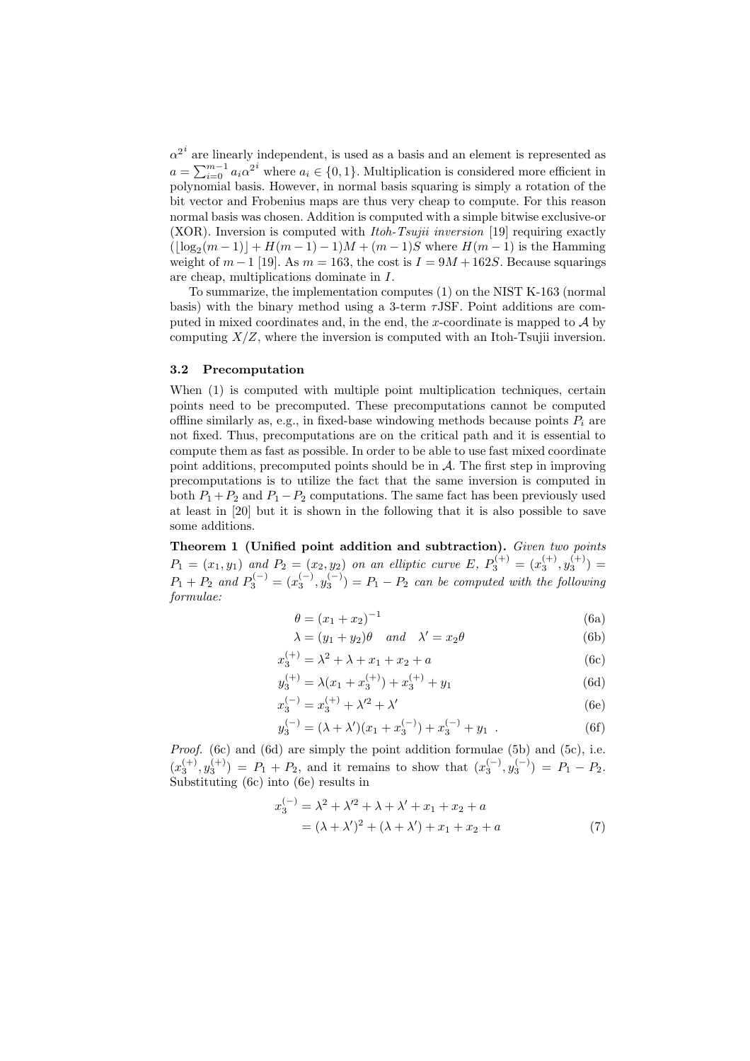$\alpha^{2^i}$  are linearly independent, is used as a basis and an element is represented as  $a = \sum_{i=0}^{m-1} a_i \alpha^{2i}$  where  $a_i \in \{0, 1\}$ . Multiplication is considered more efficient in polynomial basis. However, in normal basis squaring is simply a rotation of the bit vector and Frobenius maps are thus very cheap to compute. For this reason normal basis was chosen. Addition is computed with a simple bitwise exclusive-or (XOR). Inversion is computed with Itoh-Tsujii inversion [19] requiring exactly  $(\lfloor \log_2(m-1) \rfloor + H(m-1) - 1)M + (m-1)S$  where  $H(m-1)$  is the Hamming weight of  $m-1$  [19]. As  $m = 163$ , the cost is  $I = 9M + 162S$ . Because squarings are cheap, multiplications dominate in I.

To summarize, the implementation computes (1) on the NIST K-163 (normal basis) with the binary method using a 3-term  $\tau JSF$ . Point additions are computed in mixed coordinates and, in the end, the x-coordinate is mapped to  $A$  by computing  $X/Z$ , where the inversion is computed with an Itoh-Tsujii inversion.

#### 3.2 Precomputation

When  $(1)$  is computed with multiple point multiplication techniques, certain points need to be precomputed. These precomputations cannot be computed offline similarly as, e.g., in fixed-base windowing methods because points  $P_i$  are not fixed. Thus, precomputations are on the critical path and it is essential to compute them as fast as possible. In order to be able to use fast mixed coordinate point additions, precomputed points should be in  $A$ . The first step in improving precomputations is to utilize the fact that the same inversion is computed in both  $P_1 + P_2$  and  $P_1 - P_2$  computations. The same fact has been previously used at least in [20] but it is shown in the following that it is also possible to save some additions.

Theorem 1 (Unified point addition and subtraction). Given two points  $P_1 = (x_1, y_1)$  and  $P_2 = (x_2, y_2)$  on an elliptic curve E,  $P_3^{(+)} = (x_3^{(+)}, y_3^{(+)}) =$  $P_1 + P_2$  and  $P_3^{(-)} = (x_3^{(-)}, y_3^{(-)}) = P_1 - P_2$  can be computed with the following formulae:

$$
\theta = (x_1 + x_2)^{-1}
$$
 (6a)

$$
\lambda = (y_1 + y_2)\theta \quad and \quad \lambda' = x_2\theta \tag{6b}
$$

$$
x_3^{(+)} = \lambda^2 + \lambda + x_1 + x_2 + a \tag{6c}
$$

$$
y_3^{(+)} = \lambda(x_1 + x_3^{(+)}) + x_3^{(+)} + y_1
$$
\n(6d)

$$
x_3^{(-)} = x_3^{(+)} + \lambda'^2 + \lambda' \tag{6e}
$$

$$
y_3^{(-)} = (\lambda + \lambda')(x_1 + x_3^{(-)}) + x_3^{(-)} + y_1.
$$
 (6f)

Proof. (6c) and (6d) are simply the point addition formulae (5b) and (5c), i.e.  $(x_3^{(+)}, y_3^{(+)}) = P_1 + P_2$ , and it remains to show that  $(x_3^{(-)}, y_3^{(-)}) = P_1 - P_2$ . Substituting (6c) into (6e) results in

$$
x_3^{(-)} = \lambda^2 + \lambda'^2 + \lambda + \lambda' + x_1 + x_2 + a
$$
  
=  $(\lambda + \lambda')^2 + (\lambda + \lambda') + x_1 + x_2 + a$  (7)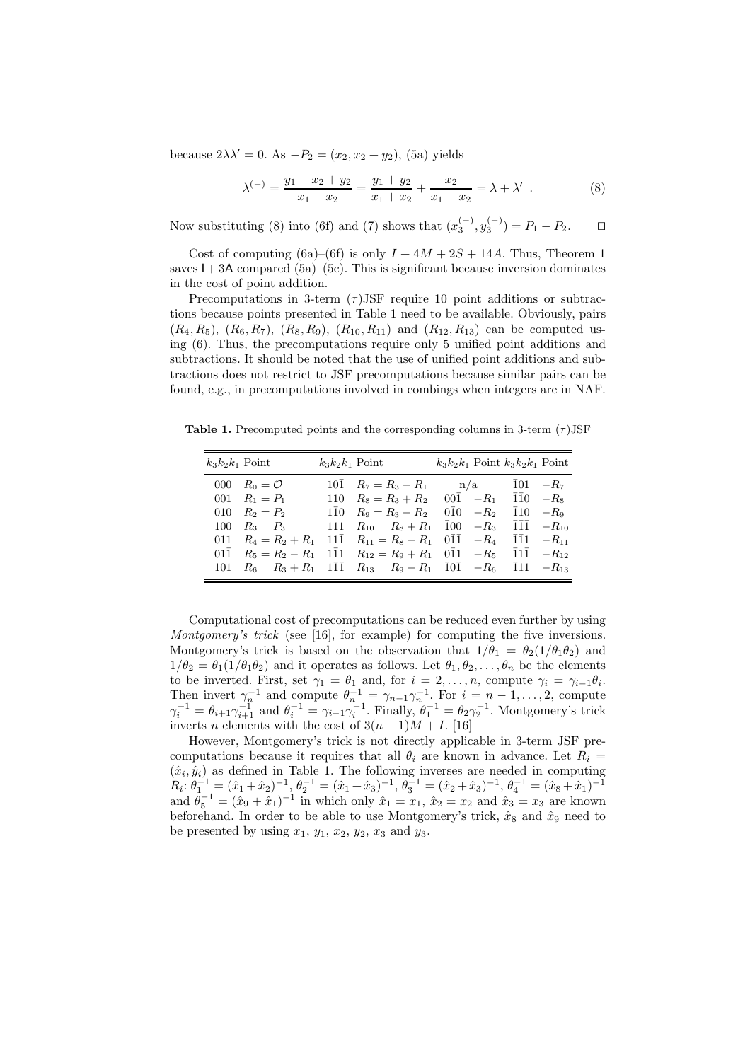because  $2\lambda\lambda' = 0$ . As  $-P_2 = (x_2, x_2 + y_2)$ , (5a) yields

$$
\lambda^{(-)} = \frac{y_1 + x_2 + y_2}{x_1 + x_2} = \frac{y_1 + y_2}{x_1 + x_2} + \frac{x_2}{x_1 + x_2} = \lambda + \lambda' \tag{8}
$$

Now substituting (8) into (6f) and (7) shows that  $(x_3^{(-)}, y_3^{(-)}) = P_1 - P_2$ . □

Cost of computing  $(6a)–(6f)$  is only  $I + 4M + 2S + 14A$ . Thus, Theorem 1 saves  $1+3A$  compared  $(5a)-(5c)$ . This is significant because inversion dominates in the cost of point addition.

Precomputations in 3-term  $(\tau)$ JSF require 10 point additions or subtractions because points presented in Table 1 need to be available. Obviously, pairs  $(R_4, R_5)$ ,  $(R_6, R_7)$ ,  $(R_8, R_9)$ ,  $(R_{10}, R_{11})$  and  $(R_{12}, R_{13})$  can be computed using (6). Thus, the precomputations require only 5 unified point additions and subtractions. It should be noted that the use of unified point additions and subtractions does not restrict to JSF precomputations because similar pairs can be found, e.g., in precomputations involved in combings when integers are in NAF.

Table 1. Precomputed points and the corresponding columns in 3-term  $(\tau)$ JSF

| $k_3k_2k_1$ Point                                                                                                                                        |            | $k_3k_2k_1$ Point                                                                                                                                                | $k_3k_2k_1$ Point $k_3k_2k_1$ Point                   |                                                                                                          |                                             |
|----------------------------------------------------------------------------------------------------------------------------------------------------------|------------|------------------------------------------------------------------------------------------------------------------------------------------------------------------|-------------------------------------------------------|----------------------------------------------------------------------------------------------------------|---------------------------------------------|
| $R_0 = \mathcal{O}$<br>000<br>$R_1 = P_1$<br>001<br>$R_2 = P_2$<br>010<br>$R_3 = P_3$ 111<br>100<br>$R_4 = R_2 + R_1$<br>011<br>$R_5 = R_2 - R_1$<br>011 | 110<br>110 | 101 $R_7 = R_3 - R_1$ $n/a$<br>$R_8 = R_3 + R_2$<br>$R_9 = R_3 - R_2$<br>$R_{10} = R_8 + R_1$ 100 $-R_3$<br>111 $R_{11} = R_8 - R_1$<br>111 $R_{12} = R_9 + R_1$ | $001 - R_1$<br>010 $-R_2$<br>011 $-R_4$<br>011 $-R_5$ | $101 - R_7$<br>$\bar{1}\bar{1}0$<br>110<br>$\overline{1}\overline{1}\overline{1} - R_{10}$<br>111<br>111 | $-R_{8}$<br>$-R0$<br>$-R_{11}$<br>$-R_{12}$ |
| 101 $R_6 = R_3 + R_1$ 111 $R_{13} = R_9 - R_1$ 101 $-R_6$                                                                                                |            |                                                                                                                                                                  |                                                       | 111                                                                                                      | $-R_{13}$                                   |

Computational cost of precomputations can be reduced even further by using Montgomery's trick (see [16], for example) for computing the five inversions. Montgomery's trick is based on the observation that  $1/\theta_1 = \theta_2(1/\theta_1\theta_2)$  and  $1/\theta_2 = \theta_1(1/\theta_1\theta_2)$  and it operates as follows. Let  $\theta_1, \theta_2, \ldots, \theta_n$  be the elements to be inverted. First, set  $\gamma_1 = \theta_1$  and, for  $i = 2, \ldots, n$ , compute  $\gamma_i = \gamma_{i-1}\theta_i$ . Then invert  $\gamma_n^{-1}$  and compute  $\theta_n^{-1} = \gamma_{n-1}\gamma_n^{-1}$ . For  $i = n-1, \ldots, 2$ , compute  $\gamma_i^{-1} = \theta_{i+1} \gamma_{i+1}^{-1}$  and  $\theta_i^{-1} = \gamma_{i-1} \gamma_i^{-1}$ . Finally,  $\theta_1^{-1} = \theta_2 \gamma_2^{-1}$ . Montgomery's trick inverts *n* elements with the cost of  $3(n-1)M + I$ . [16]

However, Montgomery's trick is not directly applicable in 3-term JSF precomputations because it requires that all  $\theta_i$  are known in advance. Let  $R_i =$  $(\hat{x}_i, \hat{y}_i)$  as defined in Table 1. The following inverses are needed in computing  $R_i: \theta_1^{-1} = (\hat{x}_1 + \hat{x}_2)^{-1}, \theta_2^{-1} = (\hat{x}_1 + \hat{x}_3)^{-1}, \theta_3^{-1} = (\hat{x}_2 + \hat{x}_3)^{-1}, \theta_4^{-1} = (\hat{x}_8 + \hat{x}_1)^{-1}$ and  $\theta_5^{-1} = (\hat{x}_9 + \hat{x}_1)^{-1}$  in which only  $\hat{x}_1 = x_1$ ,  $\hat{x}_2 = x_2$  and  $\hat{x}_3 = x_3$  are known beforehand. In order to be able to use Montgomery's trick,  $\hat{x}_8$  and  $\hat{x}_9$  need to be presented by using  $x_1$ ,  $y_1$ ,  $x_2$ ,  $y_2$ ,  $x_3$  and  $y_3$ .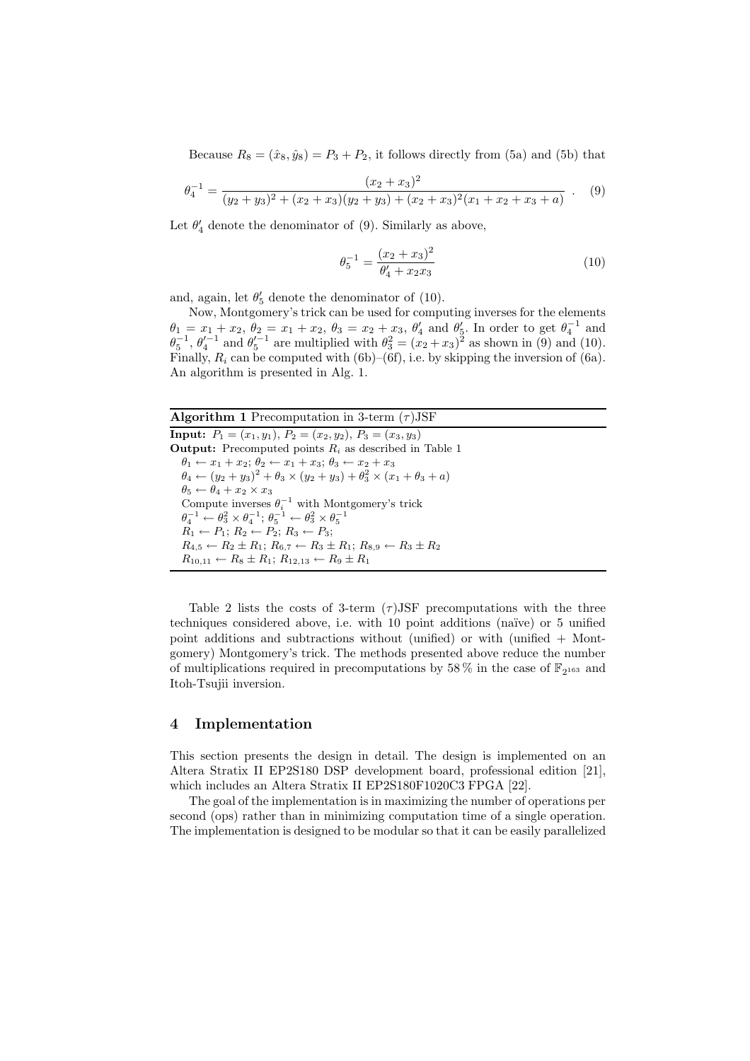Because  $R_8 = (\hat{x}_8, \hat{y}_8) = P_3 + P_2$ , it follows directly from (5a) and (5b) that

$$
\theta_4^{-1} = \frac{(x_2 + x_3)^2}{(y_2 + y_3)^2 + (x_2 + x_3)(y_2 + y_3) + (x_2 + x_3)^2 (x_1 + x_2 + x_3 + a)} \ . \tag{9}
$$

Let  $\theta_4'$  denote the denominator of (9). Similarly as above,

$$
\theta_5^{-1} = \frac{(x_2 + x_3)^2}{\theta_4' + x_2 x_3} \tag{10}
$$

and, again, let  $\theta_5'$  denote the denominator of (10).

Now, Montgomery's trick can be used for computing inverses for the elements  $\theta_1 = x_1 + x_2, \ \theta_2 = x_1 + x_2, \ \theta_3 = x_2 + x_3, \ \theta'_4$  and  $\theta'_5$ . In order to get  $\theta_4^{-1}$  and  $\theta_5^{-1}$ ,  $\theta_4'^{-1}$  and  $\theta_5'^{-1}$  are multiplied with  $\theta_3^2 = (x_2 + x_3)^2$  as shown in (9) and (10). Finally,  $R_i$  can be computed with (6b)–(6f), i.e. by skipping the inversion of (6a). An algorithm is presented in Alg. 1.

**Algorithm 1** Precomputation in 3-term  $(\tau)$ JSF

**Input:**  $P_1 = (x_1, y_1), P_2 = (x_2, y_2), P_3 = (x_3, y_3)$ **Output:** Precomputed points  $R_i$  as described in Table 1  $\theta_1 \leftarrow x_1 + x_2$ ;  $\theta_2 \leftarrow x_1 + x_3$ ;  $\theta_3 \leftarrow x_2 + x_3$  $\theta_4 \leftarrow (y_2 + y_3)^2 + \theta_3 \times (y_2 + y_3) + \theta_3^2 \times (x_1 + \theta_3 + a)$  $\theta_5 \leftarrow \theta_4 + x_2 \times x_3$ Compute inverses  $\theta_i^{-1}$  with Montgomery's trick  $\theta_4^{-1} \overset{\tilde{}}{\leftarrow} \theta_3^2 \times \theta_4^{-1}; \, \theta_5^{-1} \leftarrow \theta_3^2 \times \theta_5^{-1}$  $R_1 \leftarrow P_1; R_2 \leftarrow P_2; R_3 \leftarrow P_3;$  $R_{4,5} \leftarrow R_2 \pm R_1; R_{6,7} \leftarrow R_3 \pm R_1; R_{8,9} \leftarrow R_3 \pm R_2$  $R_{10,11} \leftarrow R_8 \pm R_1$ ;  $R_{12,13} \leftarrow R_9 \pm R_1$ 

Table 2 lists the costs of 3-term  $(\tau)$ JSF precomputations with the three techniques considered above, i.e. with 10 point additions (naïve) or 5 unified point additions and subtractions without (unified) or with (unified + Montgomery) Montgomery's trick. The methods presented above reduce the number of multiplications required in precomputations by 58% in the case of  $\mathbb{F}_{2^{163}}$  and Itoh-Tsujii inversion.

## 4 Implementation

This section presents the design in detail. The design is implemented on an Altera Stratix II EP2S180 DSP development board, professional edition [21], which includes an Altera Stratix II EP2S180F1020C3 FPGA [22].

The goal of the implementation is in maximizing the number of operations per second (ops) rather than in minimizing computation time of a single operation. The implementation is designed to be modular so that it can be easily parallelized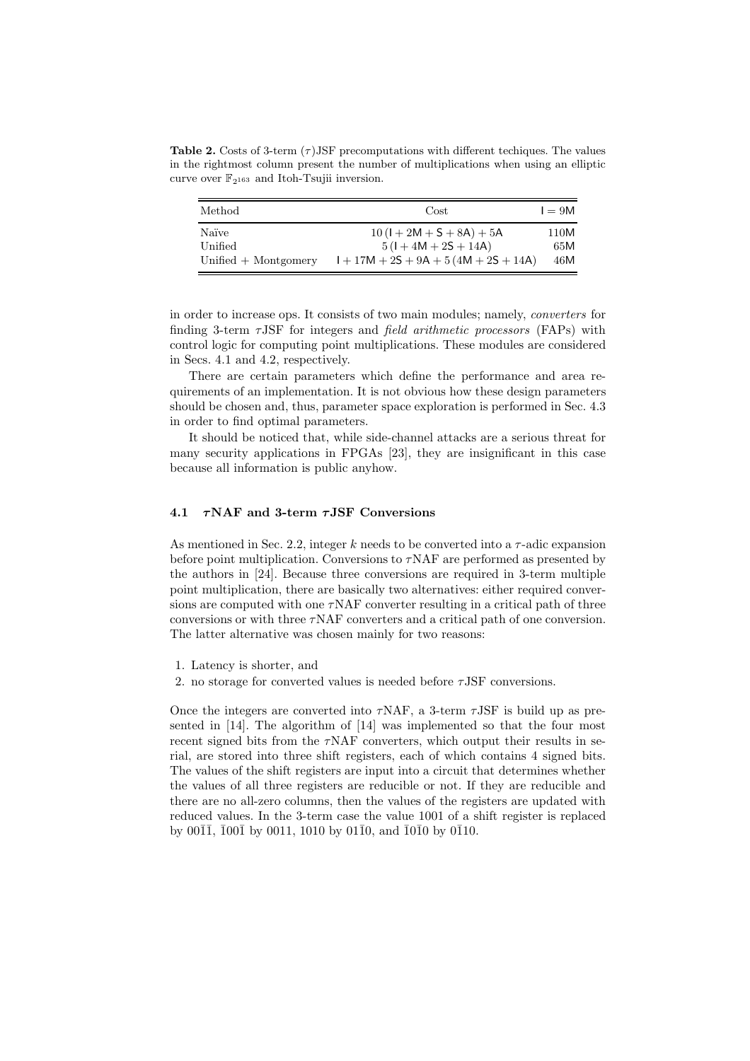**Table 2.** Costs of 3-term  $(\tau)$ JSF precomputations with different techiques. The values in the rightmost column present the number of multiplications when using an elliptic curve over  $\mathbb{F}_{2^{163}}$  and Itoh-Tsujii inversion.

| Method                 | Cost                                   | $I = 9M$ |
|------------------------|----------------------------------------|----------|
| Naïve                  | $10(l + 2M + S + 8A) + 5A$             | 110M     |
| Unified                | $5(l + 4M + 2S + 14A)$                 | 65M      |
| Unified $+$ Montgomery | $1 + 17M + 2S + 9A + 5(4M + 2S + 14A)$ | 46M      |

in order to increase ops. It consists of two main modules; namely, converters for finding 3-term  $\tau$ JSF for integers and *field arithmetic processors* (FAPs) with control logic for computing point multiplications. These modules are considered in Secs. 4.1 and 4.2, respectively.

There are certain parameters which define the performance and area requirements of an implementation. It is not obvious how these design parameters should be chosen and, thus, parameter space exploration is performed in Sec. 4.3 in order to find optimal parameters.

It should be noticed that, while side-channel attacks are a serious threat for many security applications in FPGAs [23], they are insignificant in this case because all information is public anyhow.

#### 4.1  $\tau$ NAF and 3-term  $\tau$ JSF Conversions

As mentioned in Sec. 2.2, integer k needs to be converted into a  $\tau$ -adic expansion before point multiplication. Conversions to  $\tau NAF$  are performed as presented by the authors in [24]. Because three conversions are required in 3-term multiple point multiplication, there are basically two alternatives: either required conversions are computed with one  $\tau NAF$  converter resulting in a critical path of three conversions or with three  $\tau NAF$  converters and a critical path of one conversion. The latter alternative was chosen mainly for two reasons:

- 1. Latency is shorter, and
- 2. no storage for converted values is needed before  $\tau JSF$  conversions.

Once the integers are converted into  $\tau NAF$ , a 3-term  $\tau JSF$  is build up as presented in [14]. The algorithm of [14] was implemented so that the four most recent signed bits from the  $\tau NAF$  converters, which output their results in serial, are stored into three shift registers, each of which contains 4 signed bits. The values of the shift registers are input into a circuit that determines whether the values of all three registers are reducible or not. If they are reducible and there are no all-zero columns, then the values of the registers are updated with reduced values. In the 3-term case the value 1001 of a shift register is replaced by 00 $\overline{11}$ ,  $\overline{1001}$  by 0011, 1010 by 01 $\overline{10}$ , and  $\overline{101}$  by 0 $\overline{110}$ .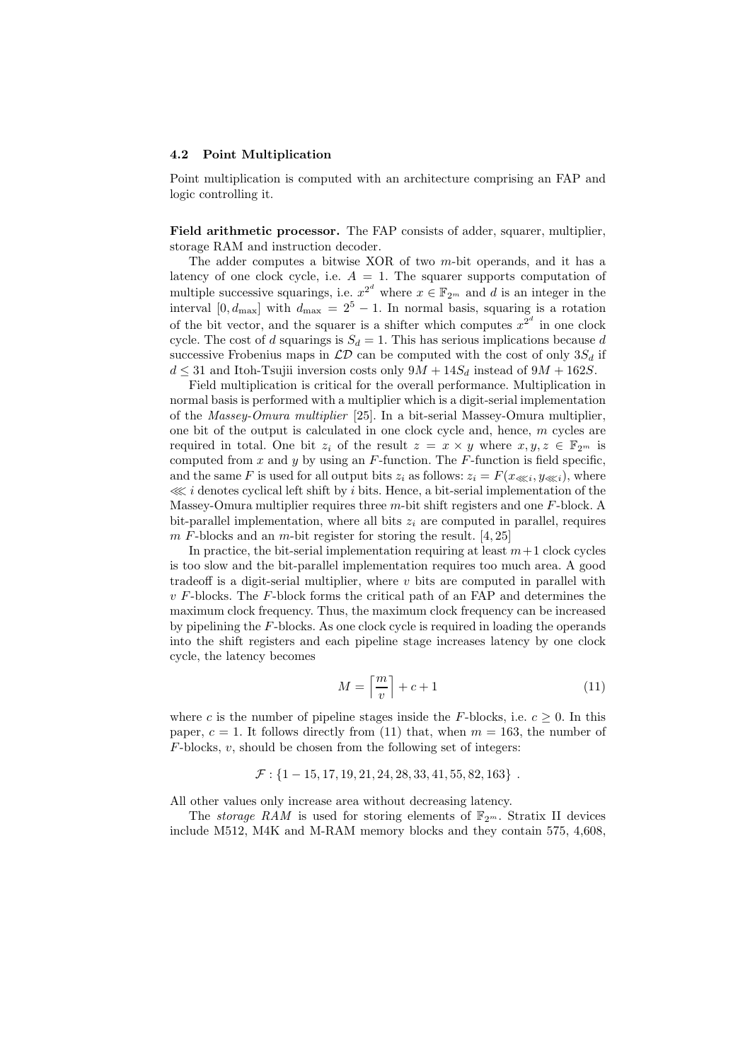#### 4.2 Point Multiplication

Point multiplication is computed with an architecture comprising an FAP and logic controlling it.

Field arithmetic processor. The FAP consists of adder, squarer, multiplier, storage RAM and instruction decoder.

The adder computes a bitwise XOR of two m-bit operands, and it has a latency of one clock cycle, i.e.  $A = 1$ . The squarer supports computation of multiple successive squarings, i.e.  $x^{2^d}$  where  $x \in \mathbb{F}_{2^m}$  and d is an integer in the interval  $[0, d_{\text{max}}]$  with  $d_{\text{max}} = 2^5 - 1$ . In normal basis, squaring is a rotation of the bit vector, and the squarer is a shifter which computes  $x^{2^d}$  in one clock cycle. The cost of d squarings is  $S_d = 1$ . This has serious implications because d successive Frobenius maps in  $\mathcal{LD}$  can be computed with the cost of only  $3S_d$  if  $d \leq 31$  and Itoh-Tsujii inversion costs only  $9M + 14S_d$  instead of  $9M + 162S$ .

Field multiplication is critical for the overall performance. Multiplication in normal basis is performed with a multiplier which is a digit-serial implementation of the Massey-Omura multiplier [25]. In a bit-serial Massey-Omura multiplier, one bit of the output is calculated in one clock cycle and, hence,  $m$  cycles are required in total. One bit  $z_i$  of the result  $z = x \times y$  where  $x, y, z \in \mathbb{F}_{2^m}$  is computed from  $x$  and  $y$  by using an  $F$ -function. The  $F$ -function is field specific, and the same F is used for all output bits  $z_i$  as follows:  $z_i = F(x_{\lll i}, y_{\lll i})$ , where  $\lll i$  denotes cyclical left shift by i bits. Hence, a bit-serial implementation of the Massey-Omura multiplier requires three  $m$ -bit shift registers and one  $F$ -block. A bit-parallel implementation, where all bits  $z_i$  are computed in parallel, requires  $m$  F-blocks and an m-bit register for storing the result. [4, 25]

In practice, the bit-serial implementation requiring at least  $m+1$  clock cycles is too slow and the bit-parallel implementation requires too much area. A good tradeoff is a digit-serial multiplier, where  $v$  bits are computed in parallel with  $v F$ -blocks. The  $F$ -block forms the critical path of an FAP and determines the maximum clock frequency. Thus, the maximum clock frequency can be increased by pipelining the F-blocks. As one clock cycle is required in loading the operands into the shift registers and each pipeline stage increases latency by one clock cycle, the latency becomes

$$
M = \left\lceil \frac{m}{v} \right\rceil + c + 1\tag{11}
$$

where c is the number of pipeline stages inside the F-blocks, i.e.  $c \geq 0$ . In this paper,  $c = 1$ . It follows directly from (11) that, when  $m = 163$ , the number of  $F\text{-blocks}, v$ , should be chosen from the following set of integers:

$$
\mathcal{F}: \{1-15, 17, 19, 21, 24, 28, 33, 41, 55, 82, 163\}.
$$

All other values only increase area without decreasing latency.

The *storage RAM* is used for storing elements of  $\mathbb{F}_{2^m}$ . Stratix II devices include M512, M4K and M-RAM memory blocks and they contain 575, 4,608,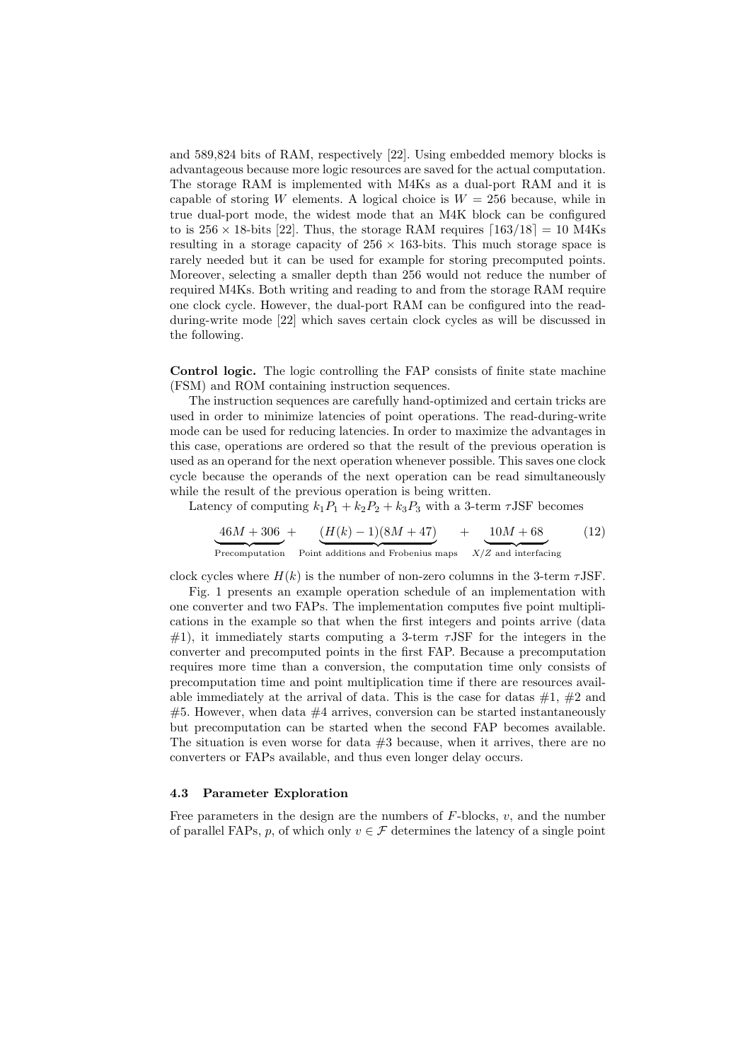and 589,824 bits of RAM, respectively [22]. Using embedded memory blocks is advantageous because more logic resources are saved for the actual computation. The storage RAM is implemented with M4Ks as a dual-port RAM and it is capable of storing W elements. A logical choice is  $W = 256$  because, while in true dual-port mode, the widest mode that an M4K block can be configured to is  $256 \times 18$ -bits [22]. Thus, the storage RAM requires  $[163/18] = 10$  M4Ks resulting in a storage capacity of  $256 \times 163$ -bits. This much storage space is rarely needed but it can be used for example for storing precomputed points. Moreover, selecting a smaller depth than 256 would not reduce the number of required M4Ks. Both writing and reading to and from the storage RAM require one clock cycle. However, the dual-port RAM can be configured into the readduring-write mode [22] which saves certain clock cycles as will be discussed in the following.

Control logic. The logic controlling the FAP consists of finite state machine (FSM) and ROM containing instruction sequences.

The instruction sequences are carefully hand-optimized and certain tricks are used in order to minimize latencies of point operations. The read-during-write mode can be used for reducing latencies. In order to maximize the advantages in this case, operations are ordered so that the result of the previous operation is used as an operand for the next operation whenever possible. This saves one clock cycle because the operands of the next operation can be read simultaneously while the result of the previous operation is being written.

Latency of computing  $k_1P_1 + k_2P_2 + k_3P_3$  with a 3-term  $\tau$ JSF becomes

$$
\underbrace{46M + 306}_{\text{Precomputation}} + \underbrace{(H(k) - 1)(8M + 47)}_{\text{Point additions and Frobenius maps}} + \underbrace{10M + 68}_{X/Z \text{ and interfacing}} \tag{12}
$$

clock cycles where  $H(k)$  is the number of non-zero columns in the 3-term  $\tau JSF$ .

Fig. 1 presents an example operation schedule of an implementation with one converter and two FAPs. The implementation computes five point multiplications in the example so that when the first integers and points arrive (data  $\#1$ ), it immediately starts computing a 3-term  $\tau JSF$  for the integers in the converter and precomputed points in the first FAP. Because a precomputation requires more time than a conversion, the computation time only consists of precomputation time and point multiplication time if there are resources available immediately at the arrival of data. This is the case for datas  $\#1, \#2$  and  $#5.$  However, when data  $#4$  arrives, conversion can be started instantaneously but precomputation can be started when the second FAP becomes available. The situation is even worse for data  $#3$  because, when it arrives, there are no converters or FAPs available, and thus even longer delay occurs.

#### 4.3 Parameter Exploration

Free parameters in the design are the numbers of  $F$ -blocks,  $v$ , and the number of parallel FAPs, p, of which only  $v \in \mathcal{F}$  determines the latency of a single point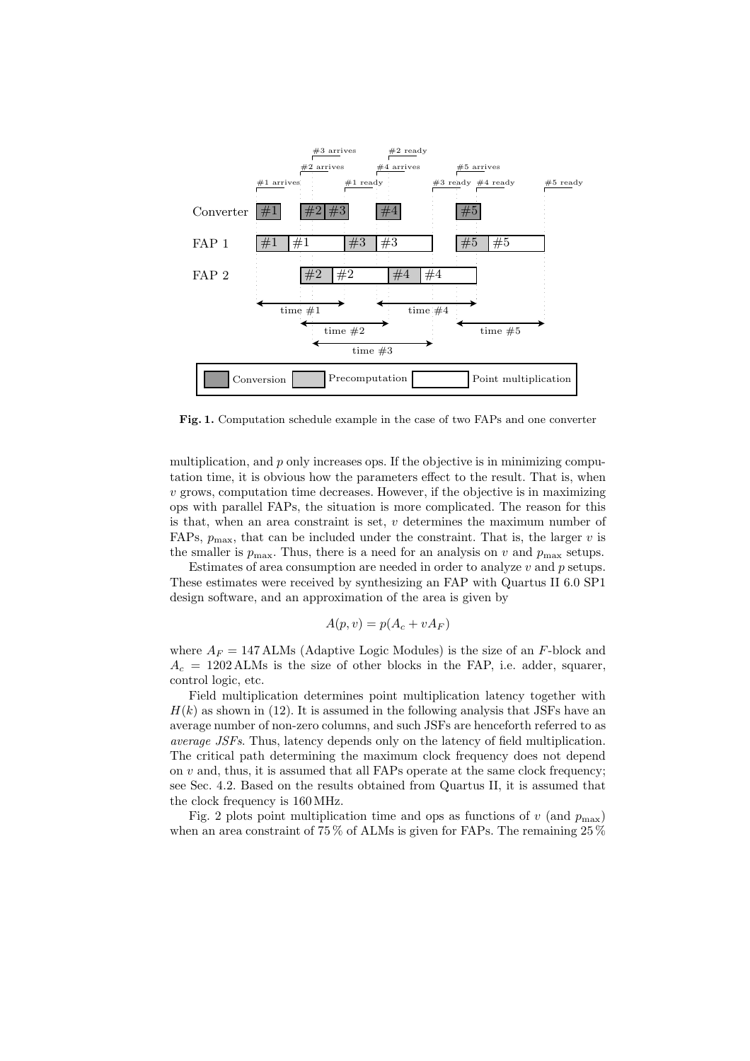

Fig. 1. Computation schedule example in the case of two FAPs and one converter

multiplication, and  $p$  only increases ops. If the objective is in minimizing computation time, it is obvious how the parameters effect to the result. That is, when  $v$  grows, computation time decreases. However, if the objective is in maximizing ops with parallel FAPs, the situation is more complicated. The reason for this is that, when an area constraint is set,  $v$  determines the maximum number of FAPs,  $p_{\text{max}}$ , that can be included under the constraint. That is, the larger v is the smaller is  $p_{\text{max}}$ . Thus, there is a need for an analysis on v and  $p_{\text{max}}$  setups.

Estimates of area consumption are needed in order to analyze  $v$  and  $p$  setups. These estimates were received by synthesizing an FAP with Quartus II 6.0 SP1 design software, and an approximation of the area is given by

$$
A(p, v) = p(A_c + vA_F)
$$

where  $A_F = 147$  ALMs (Adaptive Logic Modules) is the size of an F-block and  $A_c = 1202 \text{ ALMs}$  is the size of other blocks in the FAP, i.e. adder, squarer, control logic, etc.

Field multiplication determines point multiplication latency together with  $H(k)$  as shown in (12). It is assumed in the following analysis that JSFs have an average number of non-zero columns, and such JSFs are henceforth referred to as average JSFs. Thus, latency depends only on the latency of field multiplication. The critical path determining the maximum clock frequency does not depend on  $v$  and, thus, it is assumed that all FAPs operate at the same clock frequency; see Sec. 4.2. Based on the results obtained from Quartus II, it is assumed that the clock frequency is 160MHz.

Fig. 2 plots point multiplication time and ops as functions of v (and  $p_{\text{max}}$ ) when an area constraint of 75 % of ALMs is given for FAPs. The remaining  $25\%$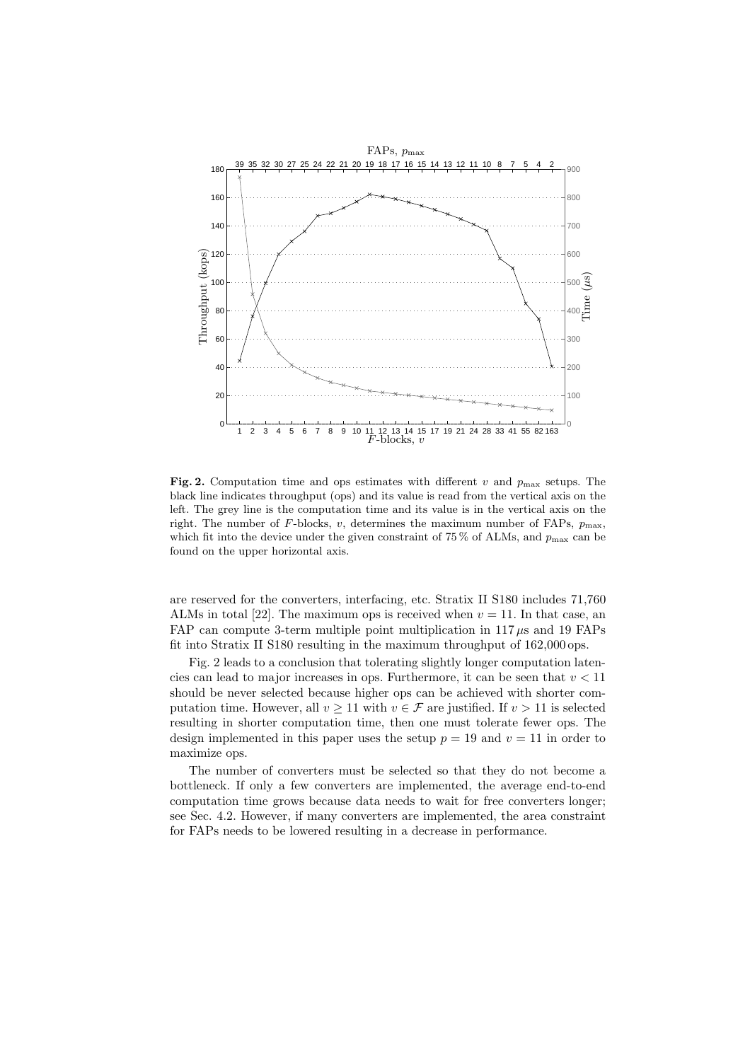

Fig. 2. Computation time and ops estimates with different v and  $p_{\text{max}}$  setups. The black line indicates throughput (ops) and its value is read from the vertical axis on the left. The grey line is the computation time and its value is in the vertical axis on the right. The number of F-blocks, v, determines the maximum number of FAPs,  $p_{\text{max}}$ , which fit into the device under the given constraint of 75 % of ALMs, and  $p_{\text{max}}$  can be found on the upper horizontal axis.

are reserved for the converters, interfacing, etc. Stratix II S180 includes 71,760 ALMs in total [22]. The maximum ops is received when  $v = 11$ . In that case, an FAP can compute 3-term multiple point multiplication in  $117 \mu s$  and 19 FAPs fit into Stratix II S180 resulting in the maximum throughput of 162,000 ops.

Fig. 2 leads to a conclusion that tolerating slightly longer computation latencies can lead to major increases in ops. Furthermore, it can be seen that  $v < 11$ should be never selected because higher ops can be achieved with shorter computation time. However, all  $v \ge 11$  with  $v \in \mathcal{F}$  are justified. If  $v > 11$  is selected resulting in shorter computation time, then one must tolerate fewer ops. The design implemented in this paper uses the setup  $p = 19$  and  $v = 11$  in order to maximize ops.

The number of converters must be selected so that they do not become a bottleneck. If only a few converters are implemented, the average end-to-end computation time grows because data needs to wait for free converters longer; see Sec. 4.2. However, if many converters are implemented, the area constraint for FAPs needs to be lowered resulting in a decrease in performance.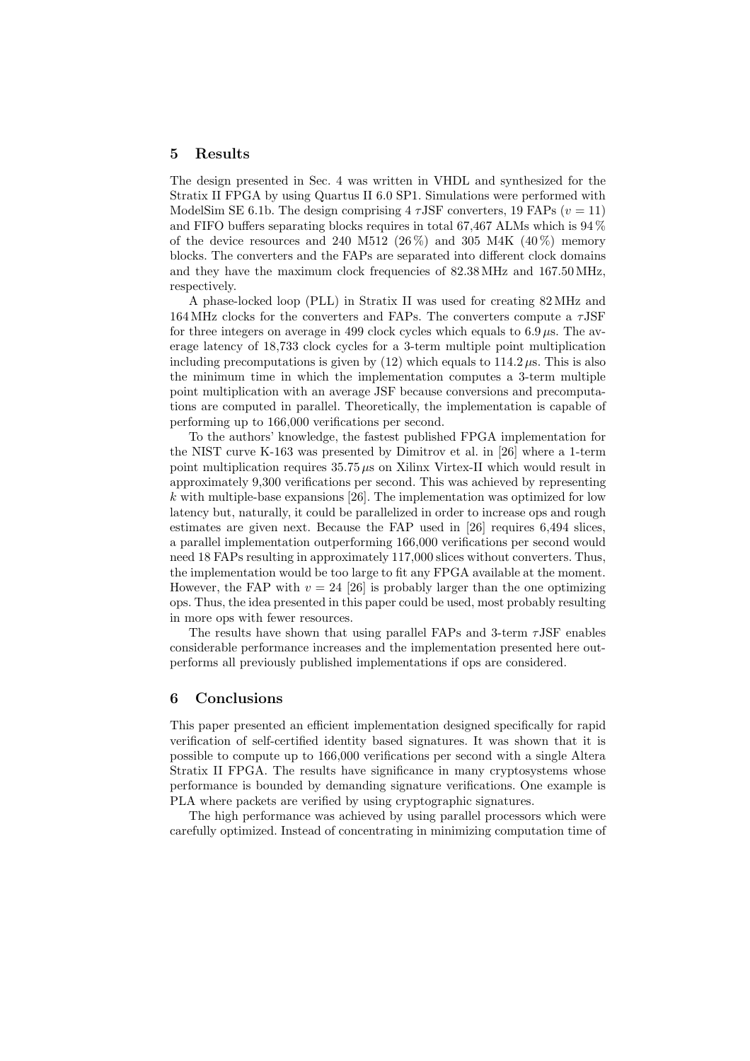#### 5 Results

The design presented in Sec. 4 was written in VHDL and synthesized for the Stratix II FPGA by using Quartus II 6.0 SP1. Simulations were performed with ModelSim SE 6.1b. The design comprising  $4 \tau JSF$  converters, 19 FAPs ( $v = 11$ ) and FIFO buffers separating blocks requires in total 67,467 ALMs which is 94 % of the device resources and 240 M512 (26%) and 305 M4K (40%) memory blocks. The converters and the FAPs are separated into different clock domains and they have the maximum clock frequencies of 82.38MHz and 167.50MHz, respectively.

A phase-locked loop (PLL) in Stratix II was used for creating 82 MHz and 164 MHz clocks for the converters and FAPs. The converters compute a  $\tau\text{JSF}$ for three integers on average in 499 clock cycles which equals to  $6.9 \,\mu s$ . The average latency of 18,733 clock cycles for a 3-term multiple point multiplication including precomputations is given by  $(12)$  which equals to  $114.2 \mu s$ . This is also the minimum time in which the implementation computes a 3-term multiple point multiplication with an average JSF because conversions and precomputations are computed in parallel. Theoretically, the implementation is capable of performing up to 166,000 verifications per second.

To the authors' knowledge, the fastest published FPGA implementation for the NIST curve K-163 was presented by Dimitrov et al. in [26] where a 1-term point multiplication requires  $35.75 \mu s$  on Xilinx Virtex-II which would result in approximately 9,300 verifications per second. This was achieved by representing  $k$  with multiple-base expansions [26]. The implementation was optimized for low latency but, naturally, it could be parallelized in order to increase ops and rough estimates are given next. Because the FAP used in [26] requires 6,494 slices, a parallel implementation outperforming 166,000 verifications per second would need 18 FAPs resulting in approximately 117,000 slices without converters. Thus, the implementation would be too large to fit any FPGA available at the moment. However, the FAP with  $v = 24$  [26] is probably larger than the one optimizing ops. Thus, the idea presented in this paper could be used, most probably resulting in more ops with fewer resources.

The results have shown that using parallel FAPs and 3-term  $\tau JSF$  enables considerable performance increases and the implementation presented here outperforms all previously published implementations if ops are considered.

## 6 Conclusions

This paper presented an efficient implementation designed specifically for rapid verification of self-certified identity based signatures. It was shown that it is possible to compute up to 166,000 verifications per second with a single Altera Stratix II FPGA. The results have significance in many cryptosystems whose performance is bounded by demanding signature verifications. One example is PLA where packets are verified by using cryptographic signatures.

The high performance was achieved by using parallel processors which were carefully optimized. Instead of concentrating in minimizing computation time of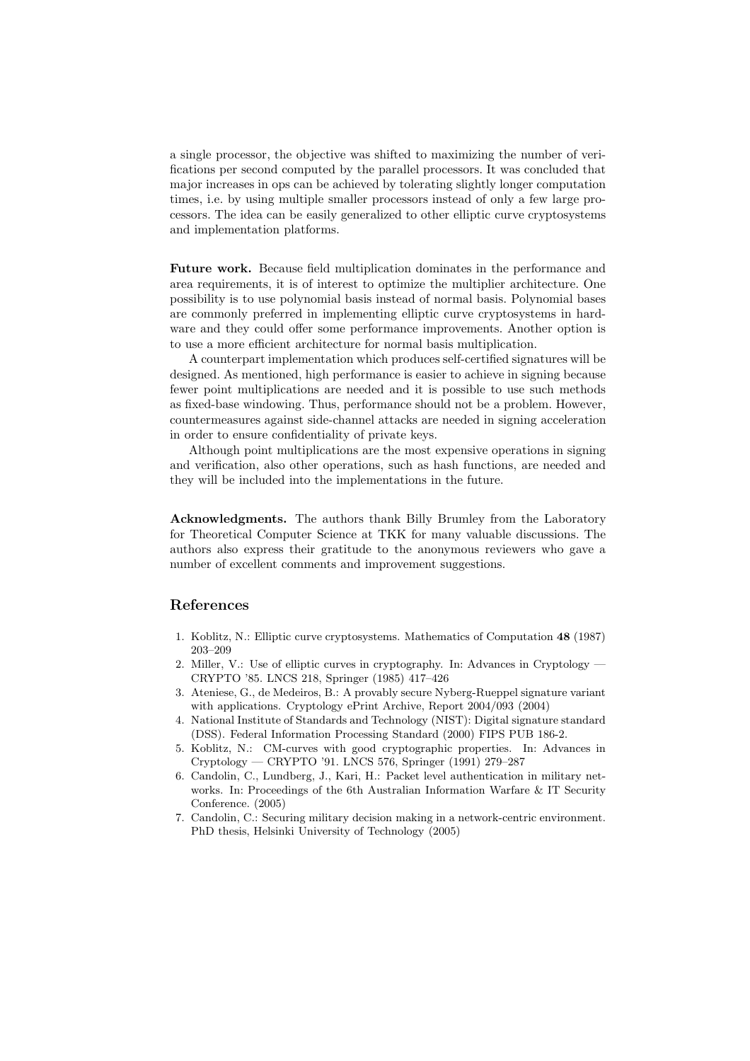a single processor, the objective was shifted to maximizing the number of verifications per second computed by the parallel processors. It was concluded that major increases in ops can be achieved by tolerating slightly longer computation times, i.e. by using multiple smaller processors instead of only a few large processors. The idea can be easily generalized to other elliptic curve cryptosystems and implementation platforms.

Future work. Because field multiplication dominates in the performance and area requirements, it is of interest to optimize the multiplier architecture. One possibility is to use polynomial basis instead of normal basis. Polynomial bases are commonly preferred in implementing elliptic curve cryptosystems in hardware and they could offer some performance improvements. Another option is to use a more efficient architecture for normal basis multiplication.

A counterpart implementation which produces self-certified signatures will be designed. As mentioned, high performance is easier to achieve in signing because fewer point multiplications are needed and it is possible to use such methods as fixed-base windowing. Thus, performance should not be a problem. However, countermeasures against side-channel attacks are needed in signing acceleration in order to ensure confidentiality of private keys.

Although point multiplications are the most expensive operations in signing and verification, also other operations, such as hash functions, are needed and they will be included into the implementations in the future.

Acknowledgments. The authors thank Billy Brumley from the Laboratory for Theoretical Computer Science at TKK for many valuable discussions. The authors also express their gratitude to the anonymous reviewers who gave a number of excellent comments and improvement suggestions.

## References

- 1. Koblitz, N.: Elliptic curve cryptosystems. Mathematics of Computation 48 (1987) 203–209
- 2. Miller, V.: Use of elliptic curves in cryptography. In: Advances in Cryptology CRYPTO '85. LNCS 218, Springer (1985) 417–426
- 3. Ateniese, G., de Medeiros, B.: A provably secure Nyberg-Rueppel signature variant with applications. Cryptology ePrint Archive, Report 2004/093 (2004)
- 4. National Institute of Standards and Technology (NIST): Digital signature standard (DSS). Federal Information Processing Standard (2000) FIPS PUB 186-2.
- 5. Koblitz, N.: CM-curves with good cryptographic properties. In: Advances in Cryptology — CRYPTO '91. LNCS 576, Springer (1991) 279–287
- 6. Candolin, C., Lundberg, J., Kari, H.: Packet level authentication in military networks. In: Proceedings of the 6th Australian Information Warfare & IT Security Conference. (2005)
- 7. Candolin, C.: Securing military decision making in a network-centric environment. PhD thesis, Helsinki University of Technology (2005)